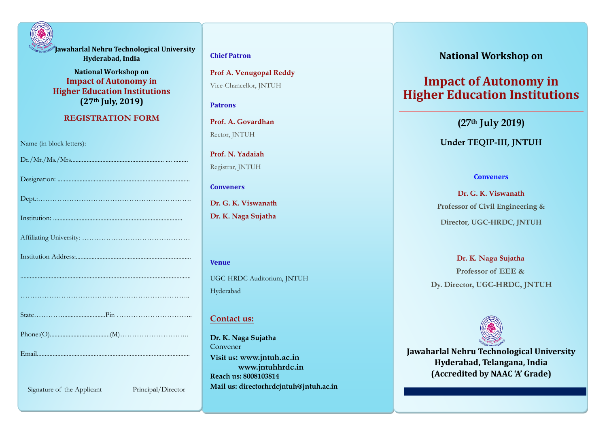

**Jawaharlal Nehru Technological University Hyderabad, India**

**National Workshop on Impact of Autonomy in Higher Education Institutions (27th July, 2019)**

#### **REGISTRATION FORM**

Name (in block letters):

| Principal/Director<br>Signature of the Applicant |
|--------------------------------------------------|

#### **Chief Patron**

**Prof A. Venugopal Reddy** Vice-Chancellor, JNTUH

#### **Patrons**

**Prof. A. Govardhan** Rector, JNTUH

**Prof. N. Yadaiah** Registrar, JNTUH

#### **Conveners**

**Dr. G. K. Viswanath Dr. K. Naga Sujatha**

# **Venue** UGC-HRDC Auditorium, JNTUH Hyderabad

#### **Contact us:**

**Dr. K. Naga Sujatha** Convener **Visit us: [www.jntuh.ac.in](http://www.jntuh.ac.in/) www.jntuhhrdc.in Reach us: 8008103814 Mail us: directorhrdcjntuh@jntuh.ac.in**

# **National Workshop on**

# **Impact of Autonomy in Higher Education Institutions**

**(27th July 2019)**

## **Under TEQIP-III, JNTUH**

#### **Conveners**

**Dr. G. K. Viswanath Professor of Civil Engineering & Director, UGC-HRDC, JNTUH**

**Dr. K. Naga Sujatha Professor of EEE & Dy. Director, UGC-HRDC, JNTUH**



**Jawaharlal Nehru Technological University Hyderabad, Telangana, India (Accredited by NAAC 'A' Grade)**